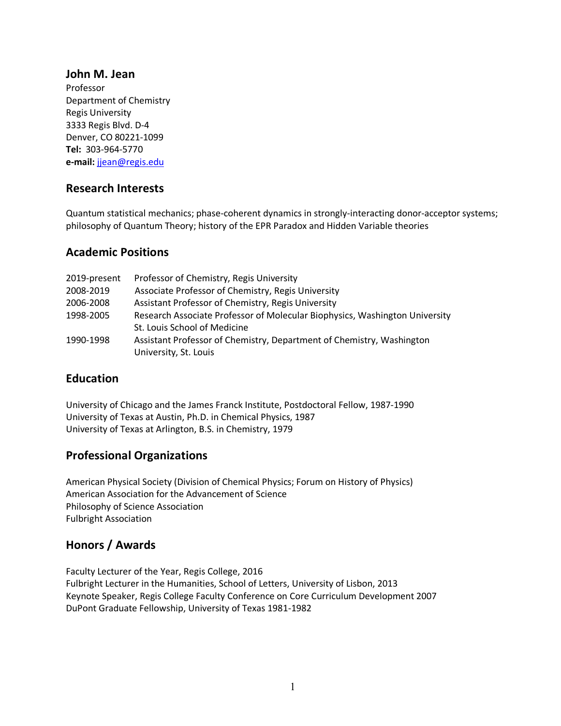#### **John M. Jean**

Professor Department of Chemistry Regis University 3333 Regis Blvd. D-4 Denver, CO 80221-1099 **Tel:** 303-964-5770 **e-mail:** jjean@regis.edu

# **Research Interests**

Quantum statistical mechanics; phase-coherent dynamics in strongly-interacting donor-acceptor systems; philosophy of Quantum Theory; history of the EPR Paradox and Hidden Variable theories

#### **Academic Positions**

| 2019-present | Professor of Chemistry, Regis University                                    |
|--------------|-----------------------------------------------------------------------------|
| 2008-2019    | Associate Professor of Chemistry, Regis University                          |
| 2006-2008    | Assistant Professor of Chemistry, Regis University                          |
| 1998-2005    | Research Associate Professor of Molecular Biophysics, Washington University |
|              | St. Louis School of Medicine                                                |
| 1990-1998    | Assistant Professor of Chemistry, Department of Chemistry, Washington       |
|              | University, St. Louis                                                       |

# **Education**

University of Chicago and the James Franck Institute, Postdoctoral Fellow, 1987-1990 University of Texas at Austin, Ph.D. in Chemical Physics, 1987 University of Texas at Arlington, B.S. in Chemistry, 1979

# **Professional Organizations**

American Physical Society (Division of Chemical Physics; Forum on History of Physics) American Association for the Advancement of Science Philosophy of Science Association Fulbright Association

# **Honors / Awards**

Faculty Lecturer of the Year, Regis College, 2016 Fulbright Lecturer in the Humanities, School of Letters, University of Lisbon, 2013 Keynote Speaker, Regis College Faculty Conference on Core Curriculum Development 2007 DuPont Graduate Fellowship, University of Texas 1981-1982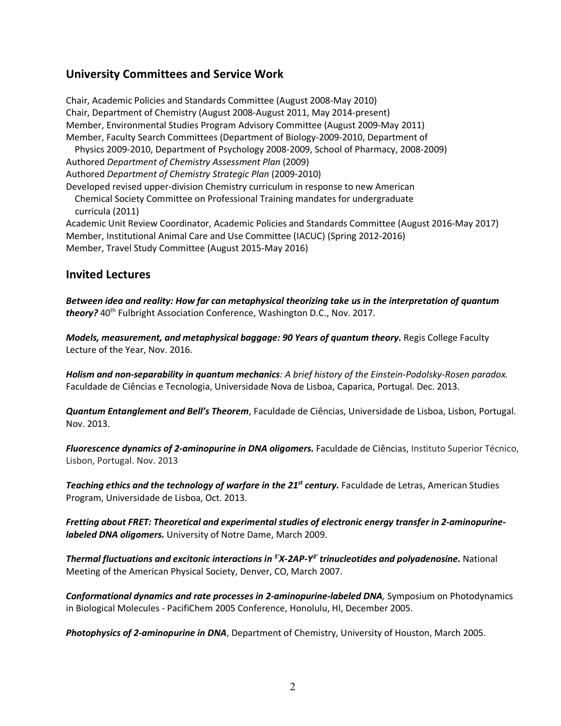# **University Committees and Service Work**

Chair, Academic Policies and Standards Committee (August 2008-May 2010) Chair, Department of Chemistry (August 2008-August 2011, May 2014-present) Member, Environmental Studies Program Advisory Committee (August 2009-May 2011) Member, Faculty Search Committees (Department of Biology-2009-2010, Department of Physics 2009-2010, Department of Psychology 2008-2009, School of Pharmacy, 2008-2009) Authored *Department of Chemistry Assessment Plan* (2009) Authored *Department of Chemistry Strategic Plan* (2009-2010) Developed revised upper-division Chemistry curriculum in response to new American Chemical Society Committee on Professional Training mandates for undergraduate curricula (2011)

Academic Unit Review Coordinator, Academic Policies and Standards Committee (August 2016-May 2017) Member, Institutional Animal Care and Use Committee (IACUC) (Spring 2012-2016) Member, Travel Study Committee (August 2015-May 2016)

#### **Invited Lectures**

*Between idea and reality: How far can metaphysical theorizing take us in the interpretation of quantum*  theory? 40<sup>th</sup> Fulbright Association Conference, Washington D.C., Nov. 2017.

*Models, measurement, and metaphysical baggage: 90 Years of quantum theory.* Regis College Faculty Lecture of the Year, Nov. 2016.

*Holism and non-separability in quantum mechanics: A brief history of the Einstein-Podolsky-Rosen paradox.*  Faculdade de Ciências e Tecnologia, Universidade Nova de Lisboa, Caparica, Portugal. Dec. 2013.

*Quantum Entanglement and Bell's Theorem*, Faculdade de Ciências, Universidade de Lisboa, Lisbon, Portugal. Nov. 2013.

*Fluorescence dynamics of 2-aminopurine in DNA oligomers.* Faculdade de Ciências, Instituto Superior Técnico, Lisbon, Portugal. Nov. 2013

*Teaching ethics and the technology of warfare in the 21st century.* Faculdade de Letras, American Studies Program, Universidade de Lisboa, Oct. 2013.

*Fretting about FRET: Theoretical and experimental studies of electronic energy transfer in 2-aminopurinelabeled DNA oligomers.* University of Notre Dame, March 2009.

*Thermal fluctuations and excitonic interactions in 5ʹX-2AP-Y3ʹ trinucleotides and polyadenosine.* National Meeting of the American Physical Society, Denver, CO, March 2007.

*Conformational dynamics and rate processes in 2-aminopurine-labeled DNA,* Symposium on Photodynamics in Biological Molecules - PacifiChem 2005 Conference, Honolulu, HI, December 2005.

*Photophysics of 2-aminopurine in DNA*, Department of Chemistry, University of Houston, March 2005.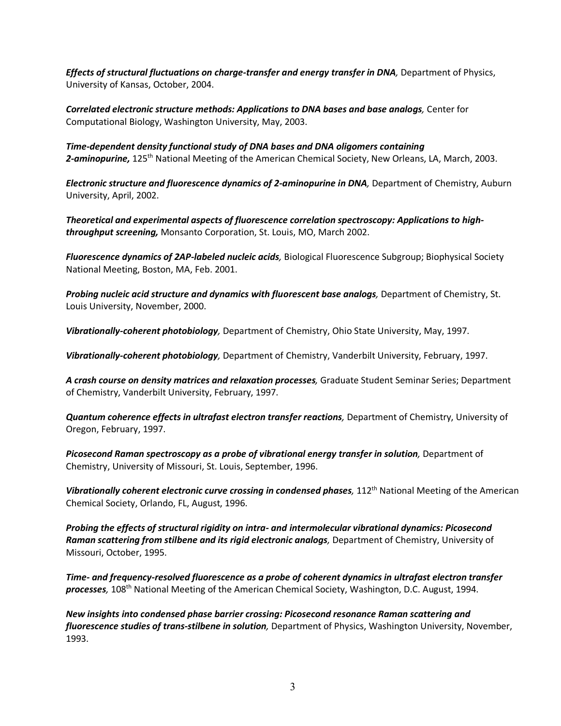*Effects of structural fluctuations on charge-transfer and energy transfer in DNA***, Department of Physics,** University of Kansas, October, 2004.

*Correlated electronic structure methods: Applications to DNA bases and base analogs,* Center for Computational Biology, Washington University, May, 2003.

*Time-dependent density functional study of DNA bases and DNA oligomers containing 2-aminopurine,* 125th National Meeting of the American Chemical Society, New Orleans, LA, March, 2003.

*Electronic structure and fluorescence dynamics of 2-aminopurine in DNA***, Department of Chemistry, Auburn** University, April, 2002.

*Theoretical and experimental aspects of fluorescence correlation spectroscopy: Applications to highthroughput screening,* Monsanto Corporation, St. Louis, MO, March 2002.

*Fluorescence dynamics of 2AP-labeled nucleic acids,* Biological Fluorescence Subgroup; Biophysical Society National Meeting, Boston, MA, Feb. 2001.

**Probing nucleic acid structure and dynamics with fluorescent base analogs, Department of Chemistry, St.** Louis University, November, 2000.

*Vibrationally-coherent photobiology,* Department of Chemistry, Ohio State University, May, 1997.

*Vibrationally-coherent photobiology,* Department of Chemistry, Vanderbilt University, February, 1997.

*A crash course on density matrices and relaxation processes,* Graduate Student Seminar Series; Department of Chemistry, Vanderbilt University, February, 1997.

*Quantum coherence effects in ultrafast electron transfer reactions,* Department of Chemistry, University of Oregon, February, 1997.

*Picosecond Raman spectroscopy as a probe of vibrational energy transfer in solution,* Department of Chemistry, University of Missouri, St. Louis, September, 1996.

*Vibrationally coherent electronic curve crossing in condensed phases,* 112<sup>th</sup> National Meeting of the American Chemical Society, Orlando, FL, August, 1996.

*Probing the effects of structural rigidity on intra- and intermolecular vibrational dynamics: Picosecond Raman scattering from stilbene and its rigid electronic analogs, Department of Chemistry, University of* Missouri, October, 1995.

*Time- and frequency-resolved fluorescence as a probe of coherent dynamics in ultrafast electron transfer processes,* 108th National Meeting of the American Chemical Society, Washington, D.C. August, 1994.

*New insights into condensed phase barrier crossing: Picosecond resonance Raman scattering and fluorescence studies of trans-stilbene in solution,* Department of Physics, Washington University, November, 1993.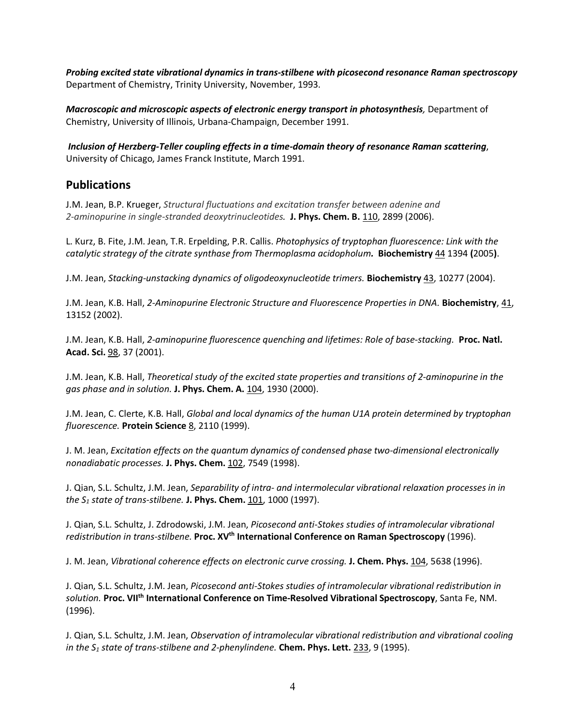*Probing excited state vibrational dynamics in trans-stilbene with picosecond resonance Raman spectroscopy* Department of Chemistry, Trinity University, November, 1993.

*Macroscopic and microscopic aspects of electronic energy transport in photosynthesis,* Department of Chemistry, University of Illinois, Urbana-Champaign, December 1991.

*Inclusion of Herzberg-Teller coupling effects in a time-domain theory of resonance Raman scattering*, University of Chicago, James Franck Institute, March 1991.

#### **Publications**

J.M. Jean, B.P. Krueger, *Structural fluctuations and excitation transfer between adenine and 2-aminopurine in single-stranded deoxytrinucleotides.* **J. Phys. Chem. B.** 110, 2899 (2006).

L. Kurz, B. Fite, J.M. Jean, T.R. Erpelding, P.R. Callis. *Photophysics of tryptophan fluorescence: Link with the catalytic strategy of the citrate synthase from Thermoplasma acidopholum.* **Biochemistry** 44 1394 **(**2005**)**.

J.M. Jean, *Stacking-unstacking dynamics of oligodeoxynucleotide trimers.* **Biochemistry** 43, 10277 (2004).

J.M. Jean, K.B. Hall, *2-Aminopurine Electronic Structure and Fluorescence Properties in DNA.* **Biochemistry**, 41, 13152 (2002).

J.M. Jean, K.B. Hall, *2-aminopurine fluorescence quenching and lifetimes: Role of base-stacking.* **Proc. Natl. Acad. Sci.** 98, 37 (2001).

J.M. Jean, K.B. Hall, *Theoretical study of the excited state properties and transitions of 2-aminopurine in the gas phase and in solution.* **J. Phys. Chem. A.** 104, 1930 (2000).

J.M. Jean, C. Clerte, K.B. Hall, *Global and local dynamics of the human U1A protein determined by tryptophan fluorescence.* **Protein Science** 8, 2110 (1999).

J. M. Jean, *Excitation effects on the quantum dynamics of condensed phase two-dimensional electronically nonadiabatic processes.* **J. Phys. Chem.** 102, 7549 (1998).

J. Qian, S.L. Schultz, J.M. Jean, *Separability of intra- and intermolecular vibrational relaxation processes in in the S1 state of trans-stilbene.* **J. Phys. Chem.** 101, 1000 (1997).

J. Qian, S.L. Schultz, J. Zdrodowski, J.M. Jean, *Picosecond anti-Stokes studies of intramolecular vibrational redistribution in trans-stilbene.* **Proc. XVth International Conference on Raman Spectroscopy** (1996).

J. M. Jean, *Vibrational coherence effects on electronic curve crossing.* **J. Chem. Phys.** 104, 5638 (1996).

J. Qian, S.L. Schultz, J.M. Jean, *Picosecond anti-Stokes studies of intramolecular vibrational redistribution in solution.* **Proc. VIIth International Conference on Time-Resolved Vibrational Spectroscopy**, Santa Fe, NM. (1996).

J. Qian, S.L. Schultz, J.M. Jean, *Observation of intramolecular vibrational redistribution and vibrational cooling in the S1 state of trans-stilbene and 2-phenylindene.* **Chem. Phys. Lett.** 233, 9 (1995).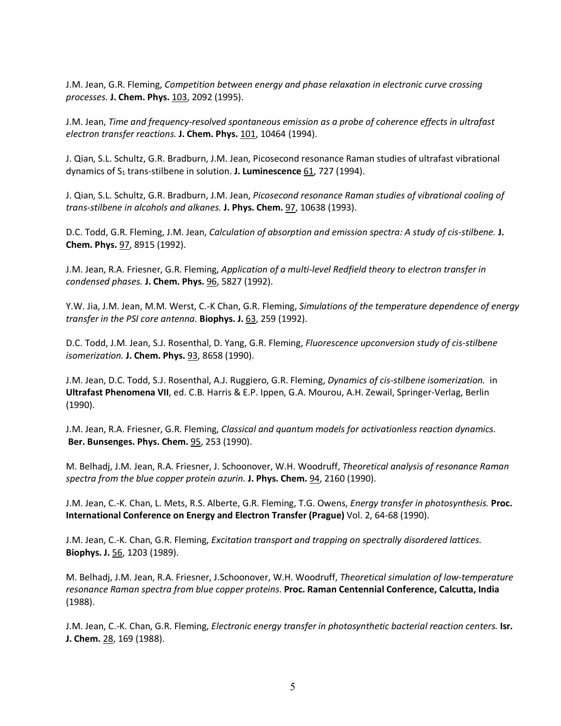J.M. Jean, G.R. Fleming, *Competition between energy and phase relaxation in electronic curve crossing processes.* **J. Chem. Phys.** 103, 2092 (1995).

J.M. Jean, *Time and frequency-resolved spontaneous emission as a probe of coherence effects in ultrafast electron transfer reactions.* **J. Chem. Phys.** 101, 10464 (1994).

J. Qian, S.L. Schultz, G.R. Bradburn, J.M. Jean, Picosecond resonance Raman studies of ultrafast vibrational dynamics of S1 trans-stilbene in solution. **J. Luminescence** 61, 727 (1994).

J. Qian, S.L. Schultz, G.R. Bradburn, J.M. Jean, *Picosecond resonance Raman studies of vibrational cooling of trans-stilbene in alcohols and alkanes.* **J. Phys. Chem.** 97, 10638 (1993).

D.C. Todd, G.R. Fleming, J.M. Jean, *Calculation of absorption and emission spectra: A study of cis-stilbene.* **J. Chem. Phys.** 97, 8915 (1992).

J.M. Jean, R.A. Friesner, G.R. Fleming, *Application of a multi-level Redfield theory to electron transfer in condensed phases.* **J. Chem. Phys.** 96, 5827 (1992).

Y.W. Jia, J.M. Jean, M.M. Werst, C.-K Chan, G.R. Fleming, *Simulations of the temperature dependence of energy transfer in the PSI core antenna.* **Biophys. J.** 63, 259 (1992).

D.C. Todd, J.M. Jean, S.J. Rosenthal, D. Yang, G.R. Fleming, *Fluorescence upconversion study of cis-stilbene isomerization.* **J. Chem. Phys.** 93, 8658 (1990).

J.M. Jean, D.C. Todd, S.J. Rosenthal, A.J. Ruggiero, G.R. Fleming, *Dynamics of cis-stilbene isomerization.* in **Ultrafast Phenomena VII**, ed. C.B. Harris & E.P. Ippen, G.A. Mourou, A.H. Zewail, Springer-Verlag, Berlin (1990).

J.M. Jean, R.A. Friesner, G.R. Fleming, *Classical and quantum models for activationless reaction dynamics.* **Ber. Bunsenges. Phys. Chem.** 95, 253 (1990).

M. Belhadj, J.M. Jean, R.A. Friesner, J. Schoonover, W.H. Woodruff, *Theoretical analysis of resonance Raman spectra from the blue copper protein azurin.* **J. Phys. Chem.** 94, 2160 (1990).

J.M. Jean, C.-K. Chan, L. Mets, R.S. Alberte, G.R. Fleming, T.G. Owens, *Energy transfer in photosynthesis.* **Proc. International Conference on Energy and Electron Transfer (Prague)** Vol. 2, 64-68 (1990). (

J.M. Jean, C.-K. Chan, G.R. Fleming, *Excitation transport and trapping on spectrally disordered lattices.*  **Biophys. J.** 56, 1203 (1989).

M. Belhadj, J.M. Jean, R.A. Friesner, J.Schoonover, W.H. Woodruff, *Theoretical simulation of low-temperature resonance Raman spectra from blue copper proteins*. **Proc. Raman Centennial Conference, Calcutta, India**  (1988).

J.M. Jean, C.-K. Chan, G.R. Fleming, *Electronic energy transfer in photosynthetic bacterial reaction centers.* **Isr. J. Chem.** 28, 169 (1988).